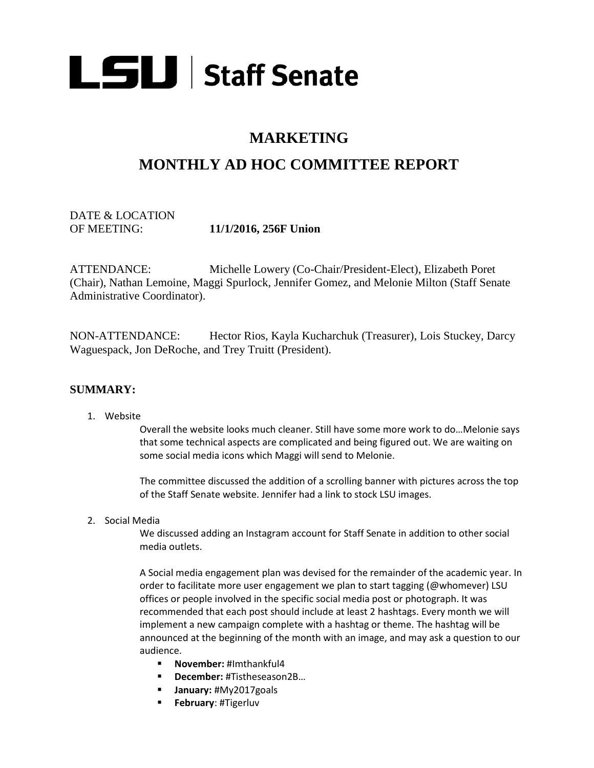

## **MARKETING**

# **MONTHLY AD HOC COMMITTEE REPORT**

DATE & LOCATION OF MEETING: **11/1/2016, 256F Union**

ATTENDANCE: Michelle Lowery (Co-Chair/President-Elect), Elizabeth Poret (Chair), Nathan Lemoine, Maggi Spurlock, Jennifer Gomez, and Melonie Milton (Staff Senate Administrative Coordinator).

NON-ATTENDANCE: Hector Rios, Kayla Kucharchuk (Treasurer), Lois Stuckey, Darcy Waguespack, Jon DeRoche, and Trey Truitt (President).

#### **SUMMARY:**

#### 1. Website

Overall the website looks much cleaner. Still have some more work to do…Melonie says that some technical aspects are complicated and being figured out. We are waiting on some social media icons which Maggi will send to Melonie.

The committee discussed the addition of a scrolling banner with pictures across the top of the Staff Senate website. Jennifer had a link to stock LSU images.

2. Social Media

We discussed adding an Instagram account for Staff Senate in addition to other social media outlets.

A Social media engagement plan was devised for the remainder of the academic year. In order to facilitate more user engagement we plan to start tagging (@whomever) LSU offices or people involved in the specific social media post or photograph. It was recommended that each post should include at least 2 hashtags. Every month we will implement a new campaign complete with a hashtag or theme. The hashtag will be announced at the beginning of the month with an image, and may ask a question to our audience.

- **November:** #Imthankful4
- **December:** #Tistheseason2B…
- **January:** #My2017goals
- **February**: #Tigerluv